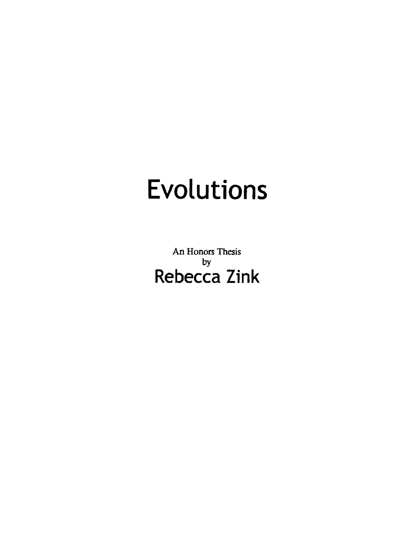## **Evolutions**

An Honors Thesis by **Rebecca Zink**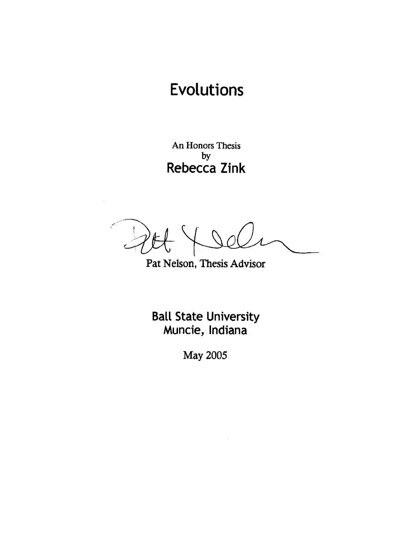## Evolutions

An Honors Thesis by Rebecca Zink

/'  $\mathbf{1}$   $\mathbf{1}$   $\mathbf{1}$ ! *,:...-r*  سیسک

Pat Nelson, Thesis Advisor

**Ball State University** Muncie, Indiana

May 2005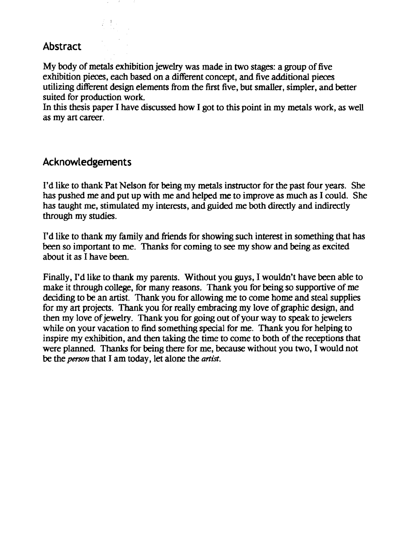## Abstract

My body of metals exhibition jewelry was made in two stages: a group of five exhibition pieces, each based on a different concept, and five additional pieces utilizing different design elements from the first five, but smaller, simpler, and better suited for production work.

In this thesis paper I have discussed how I got to this point in my metals work, as well as my art career.

## Acknowledgements

I'd like to thank Pat Nelson for being my metals instructor for the past four years. She has pushed me and put up with me and helped me to improve as much as I could. She has taught me, stimulated my interests, and guided me both directly and indirectly through my studies.

I'd like to thank my family and friends for showing such interest in something that has been so important to me. Thanks for coming to see my show and being as excited about it as I have been.

Finally, I'd like to thank my parents. Without you guys, I wouldn't have been able to make it through college, for many reasons. Thank you for being so supportive of me deciding to be an artist. Thank you for allowing me to come home and steal supplies for my art projects. Thank you for really embracing my love of graphic design, and then my love of jewelry. Thank you for going out of your way to speak to jewelers while on your vacation to find something special for me. Thank you for helping to inspire my exhibition, and then taking the time to come to both of the receptions that were planned. Thanks for being there for me, because without you two, I would not be the *person* that I am today, let alone the *artist*.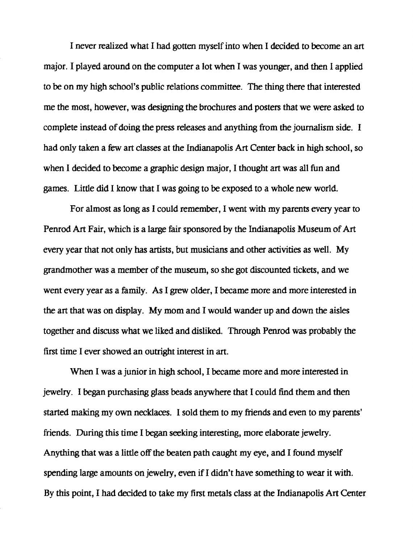I never realized what I had gotten myself into when I decided to become an art major. I played around on the computer a lot when I was younger, and then I applied to be on my high school's public relations committee. The thing there that interested me the most, however, was designing the brochures and posters that we were asked to complete instead of doing the press releases and anything from the journalism side. I had only taken a few art classes at the Indianapolis Art Center back in high school, so when I decided to become a graphic design major, I thought art was all fun and games. Little did I know that I was going to be exposed to a whole new world.

For almost as long as I could remember, I went with my parents every year to Penrod Art Fair, which is a large fair sponsored by the Indianapolis Museum of Art every year that not only has artists, but musicians and other activities as well. My grandmother was a member of the museum, so she got discounted tickets, and we went every year as a family. As I grew older, I became more and more interested in the art that was on display. My mom and I would wander up and down the aisles together and discuss what we liked and disliked. Through Penrod was probably the first time I ever showed an outright interest in art.

When I was a junior in high school, I became more and more interested in jewelry. I began purchasing glass beads anywhere that I could find them and then started making my own necklaces. I sold them to my friends and even to my parents' friends. During this time I began seeking interesting, more elaborate jewelry. Anything that was a little off the beaten path caught my eye, and I found myself spending large amounts on jewelry, even if I didn't have something to wear it with. By this point, I had decided to take my first metals class at the Indianapolis Art Center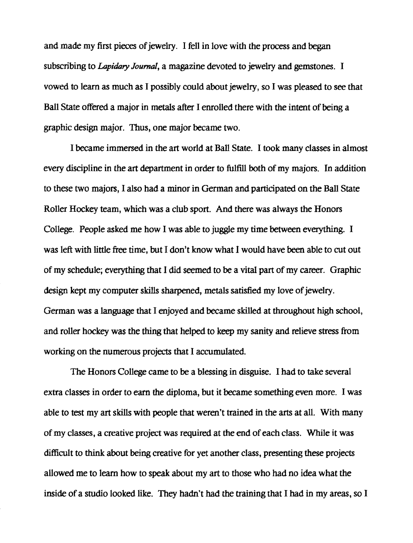and made my first pieces of jewelry. I fell in love with the process and began subscribing to *Lapidary Jouma/,* a magazine devoted to jewelry and gemstones. I vowed to learn as much as I possibly could about jewelry, so I was pleased to see that Ball State offered a major in metals after I enrolled there with the intent of being a graphic design major. Thus, one major became two.

I became immersed in the art world at Ball State. I took many classes in almost every discipline in the art department in order to fu1fl11 both of my majors. In addition to these two majors, I also had a minor in German and participated on the Ball State Roller Hockey team, which was a club sport. And there was always the Honors College. People asked me how I was able to juggle my time between everything. I was left with little free time, but I don't know what I would have been able to cut out of my schedule; everything that I did seemed to be a vital part of my career. Graphic design kept my computer skills sharpened, metals satisfied my love of jewelry. German was a language that I enjoyed and became skilled at throughout high school, and roller hockey was the thing that helped to keep my sanity and relieve stress from working on the numerous projects that I accumulated.

The Honors College came to be a blessing in disguise. I had to take several extra classes in order to earn the diploma, but it became something even more. I was able to test my art skills with people that weren't trained in the arts at all. With many of my classes, a creative project was required at the end of each class. While it was difficult to think about being creative for yet another class, presenting these projects allowed me to learn how to speak about my art to those who had no idea what the inside of a studio looked like. They hadn't had the training that I had in my areas, so I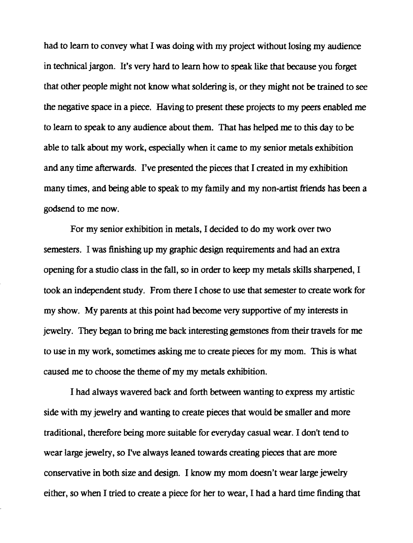had to learn to convey what I was doing with my project without losing my audience in technical jargon. It's very hard to learn how to speak like that because you forget that other people might not know what soldering is, or they might not be trained to see the negative space in a piece. Having to present these projects to my peers enabled me to learn to speak to any audience about them. That has helped me to this day to be able to talk about my work, especially when it came to my senior metals exhibition and any time afterwards. I've presented the pieces that I created in my exhibition many times, and being able to speak to my family and my non-artist friends has been a godsend to me now.

For my senior exhibition in metals, I decided to do my work over two semesters. I was finishing up my graphic design requirements and had an extra opening for a studio class in the fall, so in order to keep my metals skills sharpened, I took an independent study. From there I chose to use that semester to create work for my show. My parents at this point had become very supportive of my interests in jewelry. They began to bring me back interesting gemstones from their travels for me to use in my work, sometimes asking me to create pieces for my mom. This is what caused me to choose the theme of my my metals exhibition.

I had always wavered back and forth between wanting to express my artistic side with my jewelry and wanting to create pieces that would be smaller and more traditional, therefore being more suitable for everyday casual wear. I don't tend to wear large jewelry, so I've always leaned towards creating pieces that are more conservative in both size and design. I know my mom doesn't wear large jewelry either, so when I tried to create a piece for her to wear, I had a hard time finding that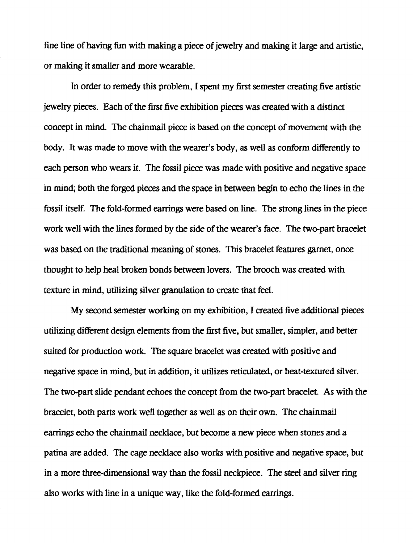fine line of having fun with making a piece of jewelry and making it large and artistic, or making it smaller and more wearable.

In order to remedy this problem, I spent my first semester creating five artistic jewelry pieces. Each of the first five exhibition pieces was created with a distinct concept in mind. The chainmail piece is based on the concept of movement with the body. It was made to move with the wearer's body, as well as conform differently to each person who wears it. The fossil piece was made with positive and negative space in mind; both the forged pieces and the space in between begin to echo the lines in the fossil itself. The fold~formed earrings were based on line. The strong lines in the piece work well with the lines formed by the side of the wearer's face. The two-part bracelet was based on the traditional meaning of stones. This bracelet features garnet, once thought to help heal broken bonds between lovers. The brooch was created with texture in mind, utilizing silver granulation to create that feel.

My second semester working on my exhibition, I created five additional pieces utilizing different design elements from the first five, but smaller, simpler, and better suited for production work. The square bracelet was created with positive and negative space in mind, but in addition, it utilizes reticulated, or heat-textured silver. The two-part slide pendant echoes the concept from the two-part bracelet. As with the bracelet, both parts work well together as well as on their own. The chainmail earrings echo the chainmail necklace, but become a new piece when stones and a patina are added. The cage necklace also works with positive and negative space, but in a more three-dimensional way than the fossil neckpiece. The steel and silver ring also works with line in a unique way, like the fold-formed earrings.